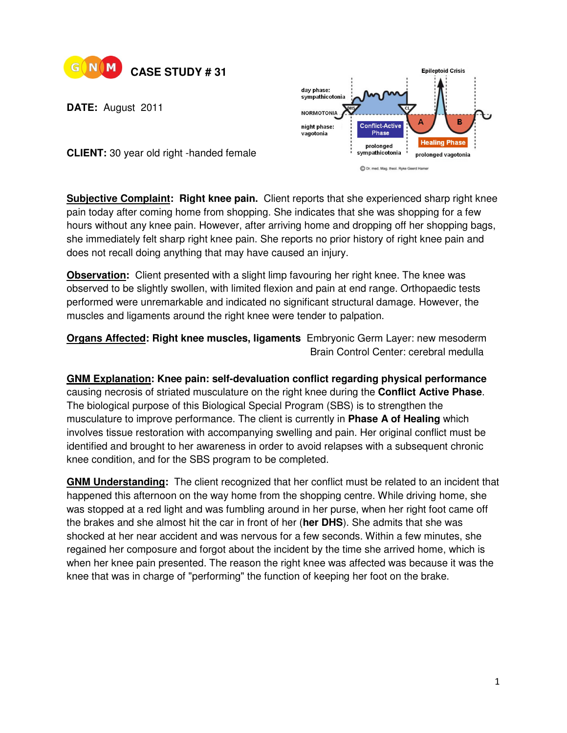

**DATE:** August 2011



**CLIENT:** 30 year old right -handed female

**Subjective Complaint: Right knee pain.** Client reports that she experienced sharp right knee pain today after coming home from shopping. She indicates that she was shopping for a few hours without any knee pain. However, after arriving home and dropping off her shopping bags, she immediately felt sharp right knee pain. She reports no prior history of right knee pain and does not recall doing anything that may have caused an injury.

**Observation:** Client presented with a slight limp favouring her right knee. The knee was observed to be slightly swollen, with limited flexion and pain at end range. Orthopaedic tests performed were unremarkable and indicated no significant structural damage. However, the muscles and ligaments around the right knee were tender to palpation.

**Organs Affected: Right knee muscles, ligaments** Embryonic Germ Layer: new mesoderm Brain Control Center: cerebral medulla

**GNM Explanation: Knee pain: self-devaluation conflict regarding physical performance**  causing necrosis of striated musculature on the right knee during the **Conflict Active Phase**. The biological purpose of this Biological Special Program (SBS) is to strengthen the musculature to improve performance. The client is currently in **Phase A of Healing** which involves tissue restoration with accompanying swelling and pain. Her original conflict must be identified and brought to her awareness in order to avoid relapses with a subsequent chronic knee condition, and for the SBS program to be completed.

**GNM Understanding:** The client recognized that her conflict must be related to an incident that happened this afternoon on the way home from the shopping centre. While driving home, she was stopped at a red light and was fumbling around in her purse, when her right foot came off the brakes and she almost hit the car in front of her (**her DHS**). She admits that she was shocked at her near accident and was nervous for a few seconds. Within a few minutes, she regained her composure and forgot about the incident by the time she arrived home, which is when her knee pain presented. The reason the right knee was affected was because it was the knee that was in charge of "performing" the function of keeping her foot on the brake.